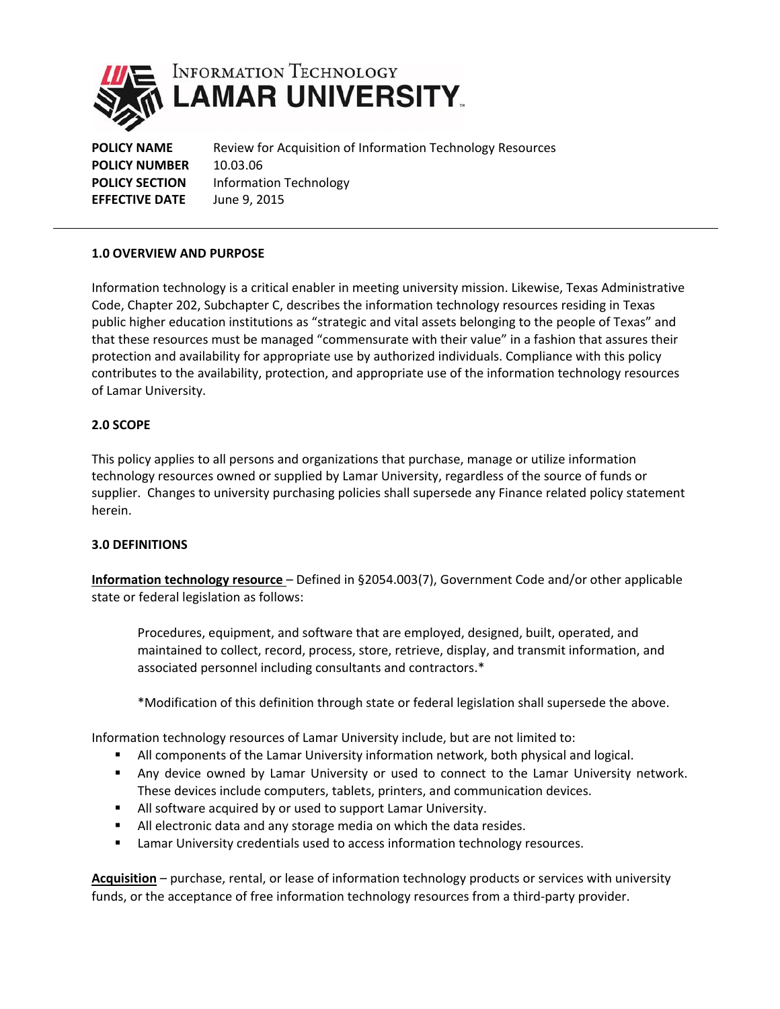

**POLICY NAME** Review for Acquisition of Information Technology Resources **POLICY NUMBER** 10.03.06 **POLICY SECTION** Information Technology **EFFECTIVE DATE** June 9, 2015

# **1.0 OVERVIEW AND PURPOSE**

Information technology is a critical enabler in meeting university mission. Likewise, Texas Administrative Code, Chapter 202, Subchapter C, describes the information technology resources residing in Texas public higher education institutions as "strategic and vital assets belonging to the people of Texas" and that these resources must be managed "commensurate with their value" in a fashion that assures their protection and availability for appropriate use by authorized individuals. Compliance with this policy contributes to the availability, protection, and appropriate use of the information technology resources of Lamar University.

# **2.0 SCOPE**

This policy applies to all persons and organizations that purchase, manage or utilize information technology resources owned or supplied by Lamar University, regardless of the source of funds or supplier. Changes to university purchasing policies shall supersede any Finance related policy statement herein.

# **3.0 DEFINITIONS**

**Information technology resource** – Defined in §2054.003(7), Government Code and/or other applicable state or federal legislation as follows:

Procedures, equipment, and software that are employed, designed, built, operated, and maintained to collect, record, process, store, retrieve, display, and transmit information, and associated personnel including consultants and contractors.\*

\*Modification of this definition through state or federal legislation shall supersede the above.

Information technology resources of Lamar University include, but are not limited to:

- **All components of the Lamar University information network, both physical and logical.**
- Any device owned by Lamar University or used to connect to the Lamar University network. These devices include computers, tablets, printers, and communication devices.
- All software acquired by or used to support Lamar University.
- All electronic data and any storage media on which the data resides.
- **EXEC** Lamar University credentials used to access information technology resources.

**Acquisition** – purchase, rental, or lease of information technology products or services with university funds, or the acceptance of free information technology resources from a third-party provider.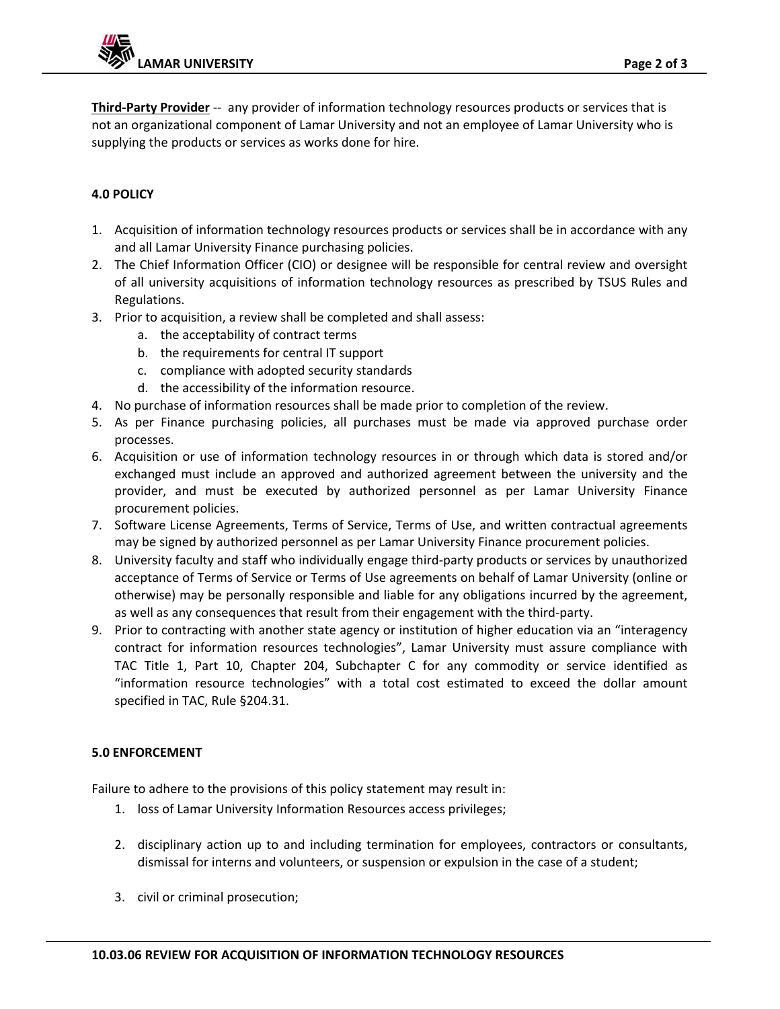**Third‐Party Provider** ‐‐ any provider of information technology resources products or services that is not an organizational component of Lamar University and not an employee of Lamar University who is supplying the products or services as works done for hire.

# **4.0 POLICY**

- 1. Acquisition of information technology resources products or services shall be in accordance with any and all Lamar University Finance purchasing policies.
- 2. The Chief Information Officer (CIO) or designee will be responsible for central review and oversight of all university acquisitions of information technology resources as prescribed by TSUS Rules and Regulations.
- 3. Prior to acquisition, a review shall be completed and shall assess:
	- a. the acceptability of contract terms
	- b. the requirements for central IT support
	- c. compliance with adopted security standards
	- d. the accessibility of the information resource.
- 4. No purchase of information resources shall be made prior to completion of the review.
- 5. As per Finance purchasing policies, all purchases must be made via approved purchase order processes.
- 6. Acquisition or use of information technology resources in or through which data is stored and/or exchanged must include an approved and authorized agreement between the university and the provider, and must be executed by authorized personnel as per Lamar University Finance procurement policies.
- 7. Software License Agreements, Terms of Service, Terms of Use, and written contractual agreements may be signed by authorized personnel as per Lamar University Finance procurement policies.
- 8. University faculty and staff who individually engage third-party products or services by unauthorized acceptance of Terms of Service or Terms of Use agreements on behalf of Lamar University (online or otherwise) may be personally responsible and liable for any obligations incurred by the agreement, as well as any consequences that result from their engagement with the third‐party.
- 9. Prior to contracting with another state agency or institution of higher education via an "interagency contract for information resources technologies", Lamar University must assure compliance with TAC Title 1, Part 10, Chapter 204, Subchapter C for any commodity or service identified as "information resource technologies" with a total cost estimated to exceed the dollar amount specified in TAC, Rule §204.31.

# **5.0 ENFORCEMENT**

Failure to adhere to the provisions of this policy statement may result in:

- 1. loss of Lamar University Information Resources access privileges;
- 2. disciplinary action up to and including termination for employees, contractors or consultants, dismissal for interns and volunteers, or suspension or expulsion in the case of a student;
- 3. civil or criminal prosecution;